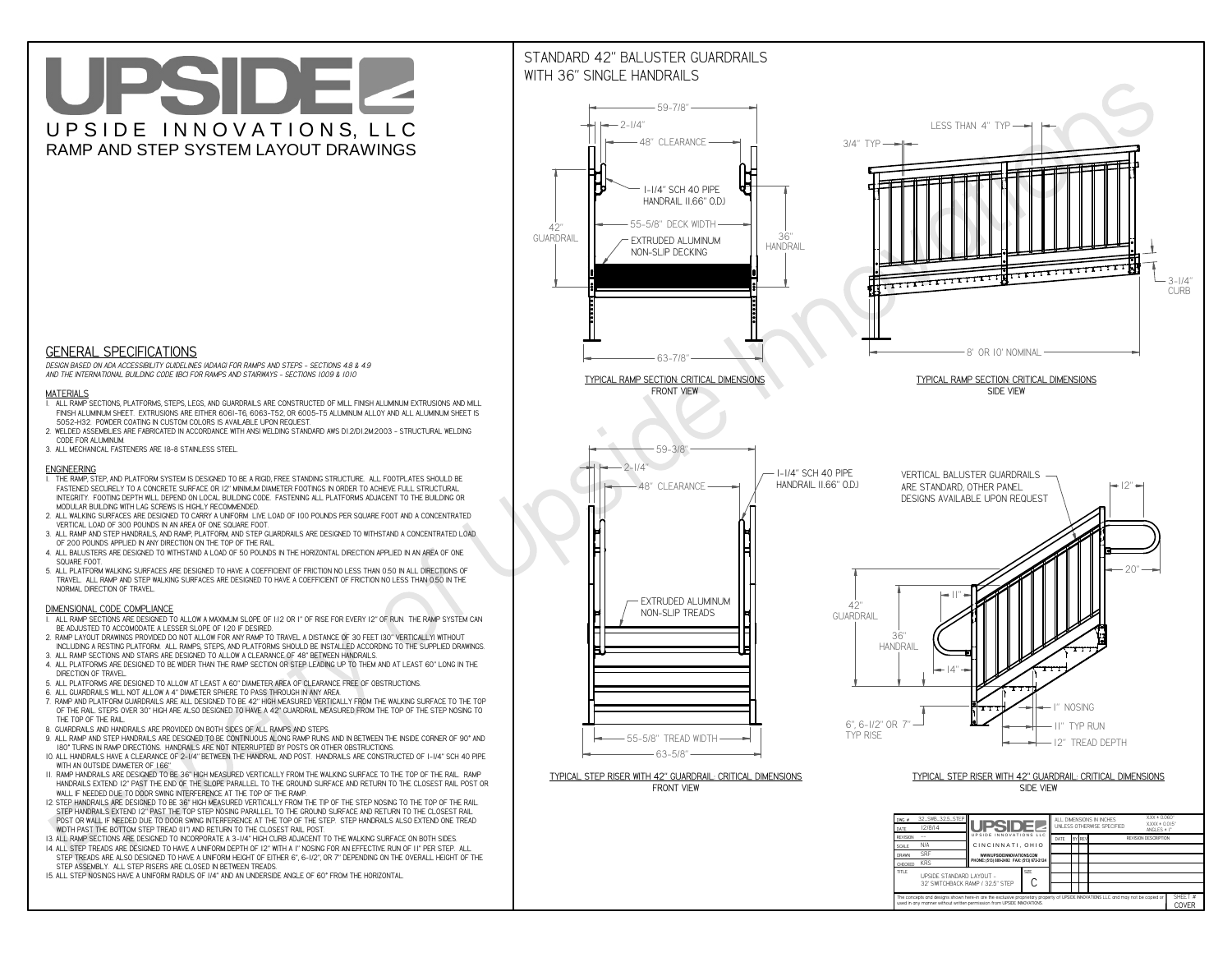**CHECKED** KRS **DRAWN**

**CThe concepts and designs shown here-in are the exclusive proprietary property of UPSIDE INNOVATIONS LLC. and may not be copied or**

 $\Box$  $\blacksquare$ 

**H** 

**used in any manner without written permission from UPSIDE INNOVATIONS.**

# UPSIDEL UPSIDE INNOVATIONS, LLC RAMP AND STEP SYSTEM LAYOUT DRAWINGS

**WWW.UPSIDEINNOVATIONS.COM PHONE: (513) 889-2492 FAX: (513) 672-2124**

SHEET #**COVER**

SRF



**TITLE UPSIDE STANDARD LAYOUT -**

32' SWITCHBACK RAMP / 32.5" STEP

# WITH 36" SINGLE HANDRAILS



 *DESIGN BASED ON ADA ACCESSIBILITY GUIDELINES (ADAAG) FOR RAMPS AND STEPS - SECTIONS 4.8 & 4.9AND THE INTERNATIONAL BUILDING CODE (IBC) FOR RAMPS AND STAIRWAYS - SECTIONS 1009 & 1010*

### **MATERIALS**

- **1. ALL RAMP SECTIONS, PLATFORMS, STEPS, LEGS, AND GUARDRAILS ARE CONSTRUCTED OF MILL FINISH ALUMINUM EXTRUSIONS AND MILL FINISH ALUMINUM SHEET. EXTRUSIONS ARE EITHER 6061-T6, 6063-T52, OR 6005-T5 ALUMINUM ALLOY AND ALL ALUMINUM SHEET IS 5052-H32. POWDER COATING IN CUSTOM COLORS IS AVAILABLE UPON REQUEST.**
- **2. WELDED ASSEMBLIES ARE FABRICATED IN ACCORDANCE WITH ANSI WELDING STANDARD AWS D1.2/D1.2M:2003 STRUCTURAL WELDING CODE FOR ALUMINUM.**
- **3. ALL MECHANICAL FASTENERS ARE 18-8 STAINLESS STEEL.**

#### **ENGINEERING**

- **1. THE RAMP, STEP, AND PLATFORM SYSTEM IS DESIGNED TO BE A RIGID, FREE STANDING STRUCTURE. ALL FOOTPLATES SHOULD BE FASTENED SECURELY TO A CONCRETE SURFACE OR 12" MINIMUM DIAMETER FOOTINGS IN ORDER TO ACHIEVE FULL STRUCTURAL INTEGRITY. FOOTING DEPTH WILL DEPEND ON LOCAL BUILDING CODE. FASTENING ALL PLATFORMS ADJACENT TO THE BUILDING OR MODULAR BUILDING WITH LAG SCREWS IS HIGHLY RECOMMENDED.**
- **2. ALL WALKING SURFACES ARE DESIGNED TO CARRY A UNIFORM LIVE LOAD OF 100 POUNDS PER SQUARE FOOT AND A CONCENTRATED VERTICAL LOAD OF 300 POUNDS IN AN AREA OF ONE SQUARE FOOT.**
- **3. ALL RAMP AND STEP HANDRAILS, AND RAMP, PLATFORM, AND STEP GUARDRAILS ARE DESIGNED TO WITHSTAND A CONCENTRATED LOAD OF 200 POUNDS APPLIED IN ANY DIRECTION ON THE TOP OF THE RAIL.**
- **4. ALL BALUSTERS ARE DESIGNED TO WITHSTAND A LOAD OF 50 POUNDS IN THE HORIZONTAL DIRECTION APPLIED IN AN AREA OF ONE SQUARE FOOT.**
- **5. ALL PLATFORM WALKING SURFACES ARE DESIGNED TO HAVE A COEFFICIENT OF FRICTION NO LESS THAN 0.50 IN ALL DIRECTIONS OF TRAVEL. ALL RAMP AND STEP WALKING SURFACES ARE DESIGNED TO HAVE A COEFFICIENT OF FRICTION NO LESS THAN 0.50 IN THE NORMAL DIRECTION OF TRAVEL.**

### **DIMENSIONAL CODE COMPLIANCE**

- **1. ALL RAMP SECTIONS ARE DESIGNED TO ALLOW A MAXIMUM SLOPE OF 1:12 OR 1" OF RISE FOR EVERY 12" OF RUN. THE RAMP SYSTEM CAN BE ADJUSTED TO ACCOMODATE A LESSER SLOPE OF 1:20 IF DESIRED.**
- **2. RAMP LAYOUT DRAWINGS PROVIDED DO NOT ALLOW FOR ANY RAMP TO TRAVEL A DISTANCE OF 30 FEET (30" VERTICALLY) WITHOUT INCLUDING A RESTING PLATFORM. ALL RAMPS, STEPS, AND PLATFORMS SHOULD BE INSTALLED ACCORDING TO THE SUPPLIED DRAWINGS.**
- **3. ALL RAMP SECTIONS AND STAIRS ARE DESIGNED TO ALLOW A CLEARANCE OF 48" BETWEEN HANDRAILS.**
- **4. ALL PLATFORMS ARE DESIGNED TO BE WIDER THAN THE RAMP SECTION OR STEP LEADING UP TO THEM AND AT LEAST 60" LONG IN THE DIRECTION OF TRAVEL.**
- **5. ALL PLATFORMS ARE DESIGNED TO ALLOW AT LEAST A 60" DIAMETER AREA OF CLEARANCE FREE OF OBSTRUCTIONS.**
- **6. ALL GUARDRAILS WILL NOT ALLOW A 4" DIAMETER SPHERE TO PASS THROUGH IN ANY AREA.**
- **7. RAMP AND PLATFORM GUARDRAILS ARE ALL DESIGNED TO BE 42" HIGH MEASURED VERTICALLY FROM THE WALKING SURFACE TO THE TOP OF THE RAIL. STEPS OVER 30" HIGH ARE ALSO DESIGNED TO HAVE A 42" GUARDRAIL MEASURED FROM THE TOP OF THE STEP NOSING TO THE TOP OF THE RAIL.**
- **8. GUARDRAILS AND HANDRAILS ARE PROVIDED ON BOTH SIDES OF ALL RAMPS AND STEPS.**
- **9. ALL RAMP AND STEP HANDRAILS ARE DESIGNED TO BE CONTINUOUS ALONG RAMP RUNS AND IN BETWEEN THE INSIDE CORNER OF 90° AND 180° TURNS IN RAMP DIRECTIONS. HANDRAILS ARE NOT INTERRUPTED BY POSTS OR OTHER OBSTRUCTIONS.**
- **10. ALL HANDRAILS HAVE A CLEARANCE OF 2-1/4" BETWEEN THE HANDRAIL AND POST. HANDRAILS ARE CONSTRUCTED OF 1-1/4" SCH 40 PIPE WITH AN OUTSIDE DIAMETER OF 1.66"**
- **11. RAMP HANDRAILS ARE DESIGNED TO BE 36" HIGH MEASURED VERTICALLY FROM THE WALKING SURFACE TO THE TOP OF THE RAIL. RAMP HANDRAILS EXTEND 12" PAST THE END OF THE SLOPE PARALLEL TO THE GROUND SURFACE AND RETURN TO THE CLOSEST RAIL POST OR WALL IF NEEDED DUE TO DOOR SWING INTERFERENCE AT THE TOP OF THE RAMP.**
- **12. STEP HANDRAILS ARE DESIGNED TO BE 36" HIGH MEASURED VERTICALLY FROM THE TIP OF THE STEP NOSING TO THE TOP OF THE RAIL. STEP HANDRAILS EXTEND 12" PAST THE TOP STEP NOSING PARALLEL TO THE GROUND SURFACE AND RETURN TO THE CLOSEST RAIL POST OR WALL IF NEEDED DUE TO DOOR SWING INTERFERENCE AT THE TOP OF THE STEP. STEP HANDRAILS ALSO EXTEND ONE TREAD WIDTH PAST THE BOTTOM STEP TREAD (11") AND RETURN TO THE CLOSEST RAIL POST.**
- **13. ALL RAMP SECTIONS ARE DESIGNED TO INCORPORATE A 3-1/4" HIGH CURB ADJACENT TO THE WALKING SURFACE ON BOTH SIDES.**
- **14. ALL STEP TREADS ARE DESIGNED TO HAVE A UNIFORM DEPTH OF 12" WITH A 1" NOSING FOR AN EFFECTIVE RUN OF 11" PER STEP. ALL**
- **STEP TREADS ARE ALSO DESIGNED TO HAVE A UNIFORM HEIGHT OF EITHER 6", 6-1/2", OR 7" DEPENDING ON THE OVERALL HEIGHT OF THE STEP ASSEMBLY. ALL STEP RISERS ARE CLOSED IN BETWEEN TREADS.**
- **15. ALL STEP NOSINGS HAVE A UNIFORM RADIUS OF 1/4" AND AN UNDERSIDE ANGLE OF 60° FROM THE HORIZONTAL.**